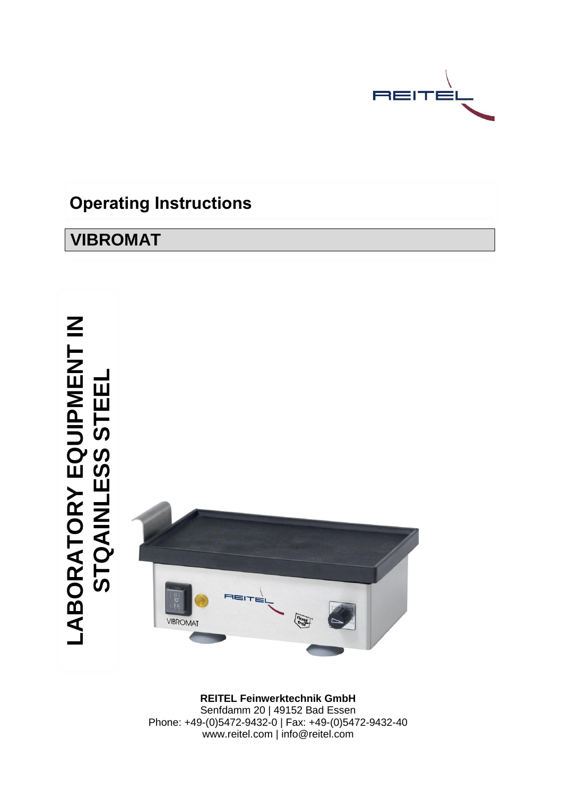

# **Operating Instructions**

# **VIBROMAT**

**LABORATORY EQUIPMENT IN STQAINLESS STEEL** LABORATORY EQUIPMENT IN<br>STQAINLESS STEEL



**REITEL Feinwerktechnik GmbH** Senfdamm 20 | 49152 Bad Essen Phone: +49-(0)5472-9432-0 | Fax: +49-(0)5472-9432-40 www.reitel.com | info@reitel.com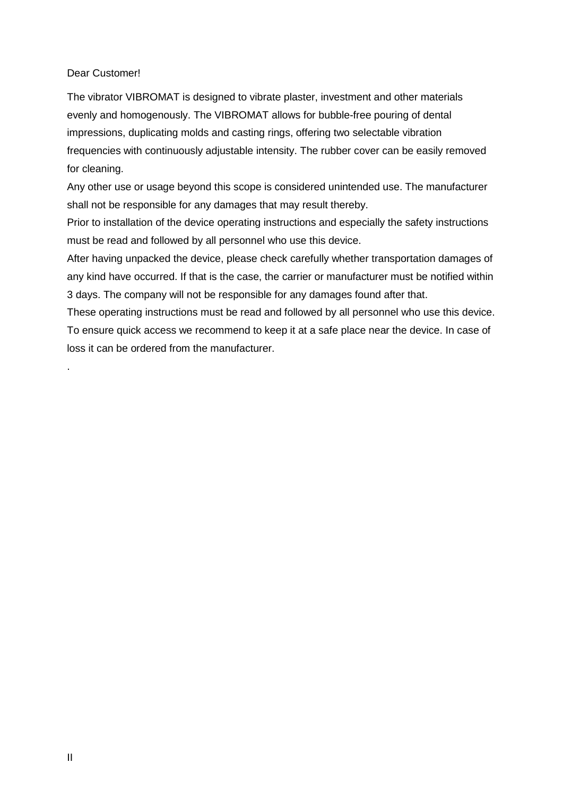### Dear Customer!

The vibrator VIBROMAT is designed to vibrate plaster, investment and other materials evenly and homogenously. The VIBROMAT allows for bubble-free pouring of dental impressions, duplicating molds and casting rings, offering two selectable vibration frequencies with continuously adjustable intensity. The rubber cover can be easily removed for cleaning.

Any other use or usage beyond this scope is considered unintended use. The manufacturer shall not be responsible for any damages that may result thereby.

Prior to installation of the device operating instructions and especially the safety instructions must be read and followed by all personnel who use this device.

After having unpacked the device, please check carefully whether transportation damages of any kind have occurred. If that is the case, the carrier or manufacturer must be notified within 3 days. The company will not be responsible for any damages found after that.

These operating instructions must be read and followed by all personnel who use this device. To ensure quick access we recommend to keep it at a safe place near the device. In case of loss it can be ordered from the manufacturer.

.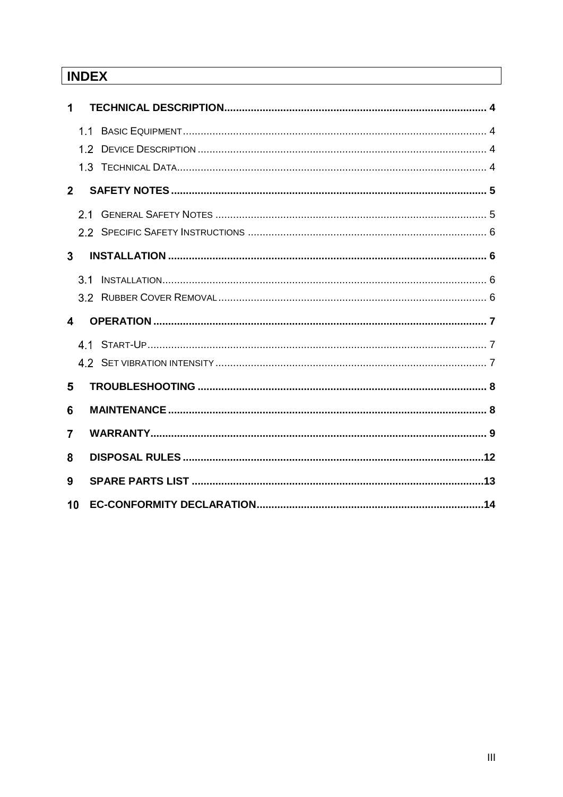# **INDEX**

| 1                       |     |  |
|-------------------------|-----|--|
|                         |     |  |
|                         |     |  |
|                         |     |  |
| 2 <sup>1</sup>          |     |  |
|                         | 21  |  |
|                         |     |  |
| $\overline{\mathbf{3}}$ |     |  |
|                         | 3.1 |  |
|                         |     |  |
|                         |     |  |
| $\blacktriangle$        |     |  |
|                         |     |  |
|                         |     |  |
| 5                       |     |  |
| 6                       |     |  |
| 7                       |     |  |
| 8                       |     |  |
| 9                       |     |  |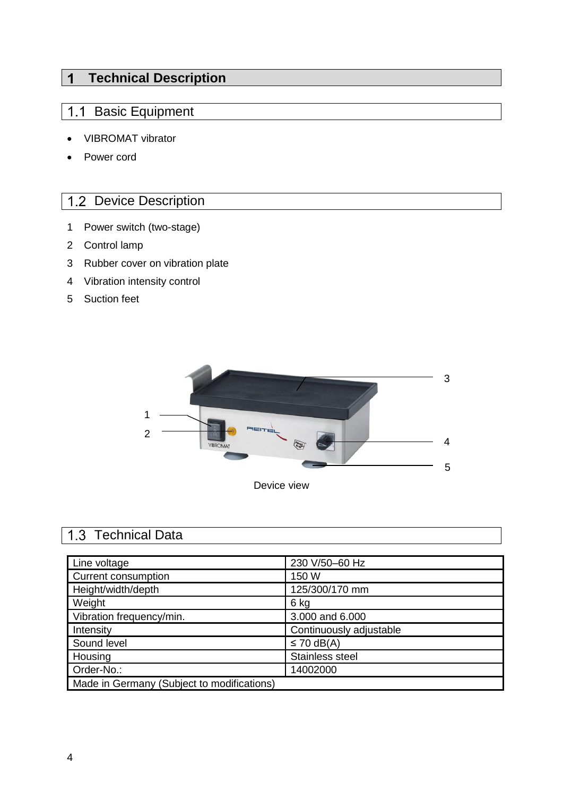#### $\overline{1}$ **Technical Description**

## 1.1 Basic Equipment

- VIBROMAT vibrator
- Power cord

## 1.2 Device Description

- 1 Power switch (two-stage)
- 2 Control lamp
- 3 Rubber cover on vibration plate
- 4 Vibration intensity control
- 5 Suction feet



### 1.3 Technical Data

| Line voltage                               | 230 V/50-60 Hz          |
|--------------------------------------------|-------------------------|
| <b>Current consumption</b>                 | 150 W                   |
| Height/width/depth                         | 125/300/170 mm          |
| Weight                                     | 6 kg                    |
| Vibration frequency/min.                   | 3.000 and 6.000         |
| Intensity                                  | Continuously adjustable |
| Sound level                                | $\leq$ 70 dB(A)         |
| Housing                                    | Stainless steel         |
| Order-No.:                                 | 14002000                |
| Made in Germany (Subject to modifications) |                         |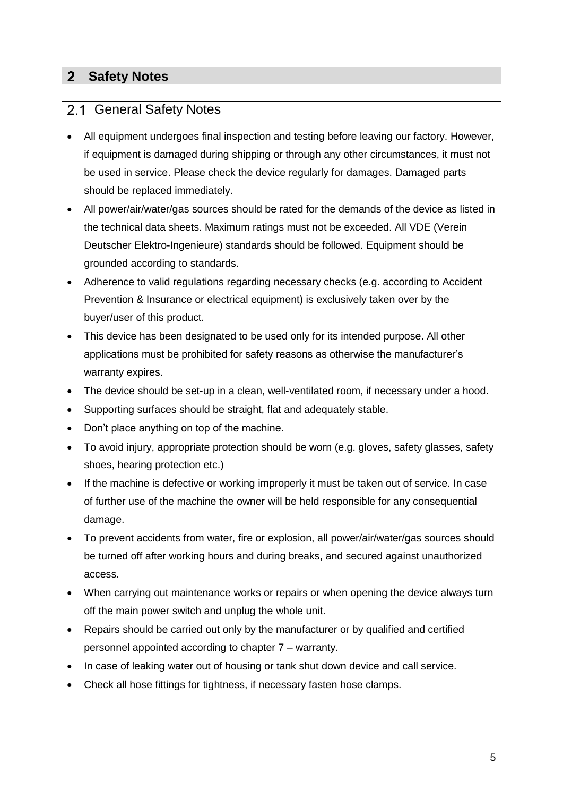#### **Safety Notes**  $2<sup>7</sup>$

#### $2.1$ General Safety Notes

- All equipment undergoes final inspection and testing before leaving our factory. However, if equipment is damaged during shipping or through any other circumstances, it must not be used in service. Please check the device regularly for damages. Damaged parts should be replaced immediately.
- All power/air/water/gas sources should be rated for the demands of the device as listed in the technical data sheets. Maximum ratings must not be exceeded. All VDE (Verein Deutscher Elektro-Ingenieure) standards should be followed. Equipment should be grounded according to standards.
- Adherence to valid regulations regarding necessary checks (e.g. according to Accident Prevention & Insurance or electrical equipment) is exclusively taken over by the buyer/user of this product.
- This device has been designated to be used only for its intended purpose. All other applications must be prohibited for safety reasons as otherwise the manufacturer's warranty expires.
- The device should be set-up in a clean, well-ventilated room, if necessary under a hood.
- Supporting surfaces should be straight, flat and adequately stable.
- Don't place anything on top of the machine.
- To avoid injury, appropriate protection should be worn (e.g. gloves, safety glasses, safety shoes, hearing protection etc.)
- If the machine is defective or working improperly it must be taken out of service. In case of further use of the machine the owner will be held responsible for any consequential damage.
- To prevent accidents from water, fire or explosion, all power/air/water/gas sources should be turned off after working hours and during breaks, and secured against unauthorized access.
- When carrying out maintenance works or repairs or when opening the device always turn off the main power switch and unplug the whole unit.
- Repairs should be carried out only by the manufacturer or by qualified and certified personnel appointed according to chapter 7 – warranty.
- In case of leaking water out of housing or tank shut down device and call service.
- Check all hose fittings for tightness, if necessary fasten hose clamps.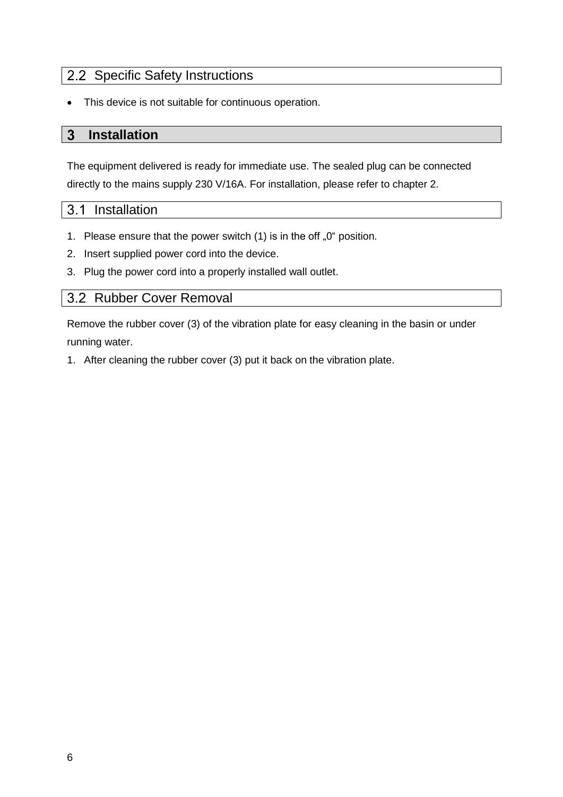### 2.2 Specific Safety Instructions

• This device is not suitable for continuous operation.

#### 3 **Installation**

The equipment delivered is ready for immediate use. The sealed plug can be connected directly to the mains supply 230 V/16A. For installation, please refer to chapter 2.

#### $3.1$ Installation

- 1. Please ensure that the power switch  $(1)$  is in the off  $.0^{\circ}$  position.
- 2. Insert supplied power cord into the device.
- 3. Plug the power cord into a properly installed wall outlet.

### 3.2 Rubber Cover Removal

Remove the rubber cover (3) of the vibration plate for easy cleaning in the basin or under running water.

1. After cleaning the rubber cover (3) put it back on the vibration plate.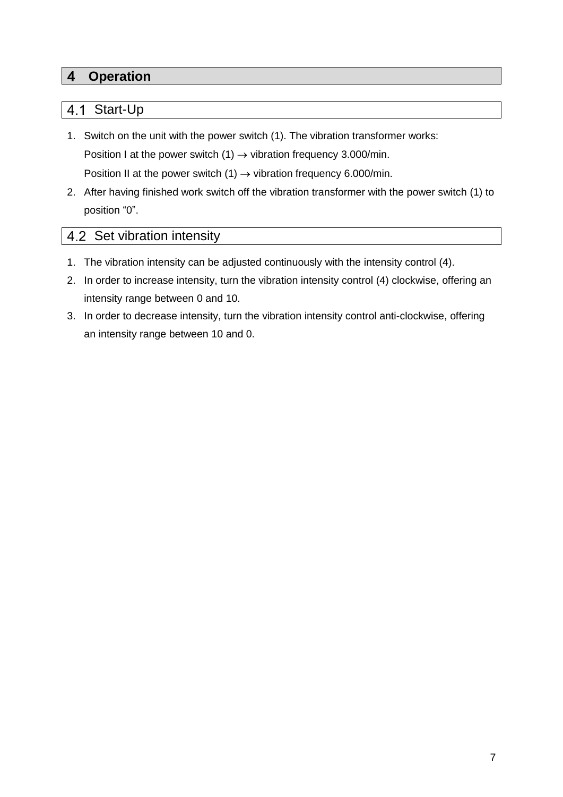#### **Operation**  $\overline{\mathbf{4}}$

#### Start-Up  $4.1$

- 1. Switch on the unit with the power switch (1). The vibration transformer works: Position I at the power switch  $(1) \rightarrow$  vibration frequency 3.000/min. Position II at the power switch (1)  $\rightarrow$  vibration frequency 6.000/min.
- 2. After having finished work switch off the vibration transformer with the power switch (1) to position "0".

### 4.2 Set vibration intensity

- 1. The vibration intensity can be adjusted continuously with the intensity control (4).
- 2. In order to increase intensity, turn the vibration intensity control (4) clockwise, offering an intensity range between 0 and 10.
- 3. In order to decrease intensity, turn the vibration intensity control anti-clockwise, offering an intensity range between 10 and 0.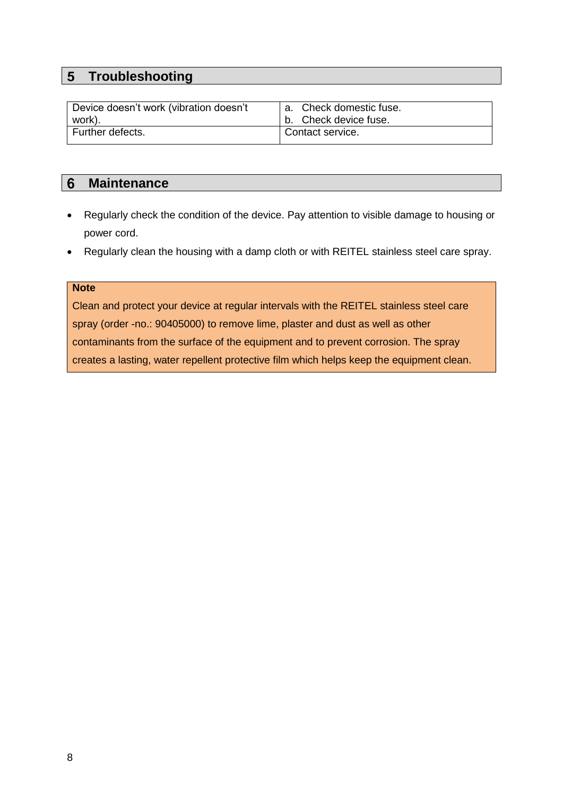## **5** Troubleshooting

| Device doesn't work (vibration doesn't | a. Check domestic fuse. |
|----------------------------------------|-------------------------|
| work).                                 | b. Check device fuse.   |
| Further defects.                       | Contact service.        |

#### $6\phantom{1}$ **Maintenance**

- Regularly check the condition of the device. Pay attention to visible damage to housing or power cord.
- Regularly clean the housing with a damp cloth or with REITEL stainless steel care spray.

### **Note**

Clean and protect your device at regular intervals with the REITEL stainless steel care spray (order -no.: 90405000) to remove lime, plaster and dust as well as other contaminants from the surface of the equipment and to prevent corrosion. The spray creates a lasting, water repellent protective film which helps keep the equipment clean.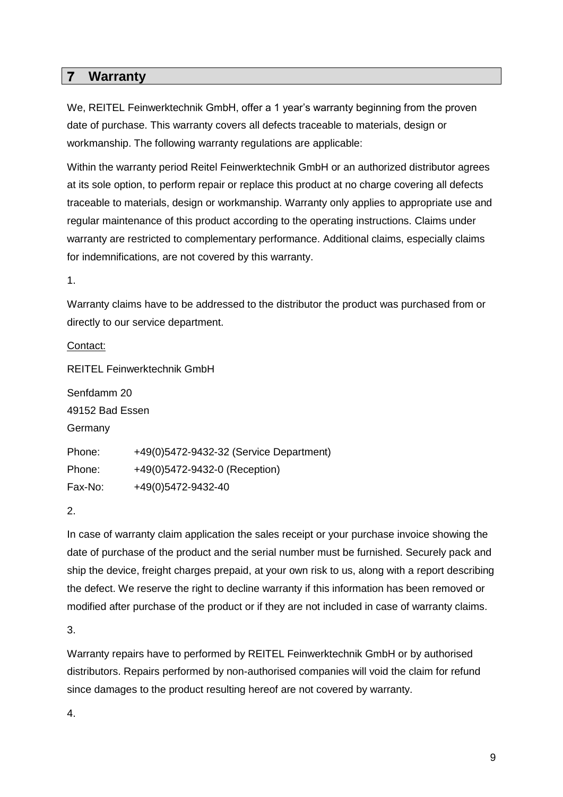#### $\overline{7}$ **Warranty**

We, REITEL Feinwerktechnik GmbH, offer a 1 year's warranty beginning from the proven date of purchase. This warranty covers all defects traceable to materials, design or workmanship. The following warranty regulations are applicable:

Within the warranty period Reitel Feinwerktechnik GmbH or an authorized distributor agrees at its sole option, to perform repair or replace this product at no charge covering all defects traceable to materials, design or workmanship. Warranty only applies to appropriate use and regular maintenance of this product according to the operating instructions. Claims under warranty are restricted to complementary performance. Additional claims, especially claims for indemnifications, are not covered by this warranty.

1.

Warranty claims have to be addressed to the distributor the product was purchased from or directly to our service department.

Contact:

REITEL Feinwerktechnik GmbH Senfdamm 20 49152 Bad Essen **Germany** Phone: +49(0)5472-9432-32 (Service Department) Phone: +49(0)5472-9432-0 (Reception) Fax-No: +49(0)5472-9432-40

2.

In case of warranty claim application the sales receipt or your purchase invoice showing the date of purchase of the product and the serial number must be furnished. Securely pack and ship the device, freight charges prepaid, at your own risk to us, along with a report describing the defect. We reserve the right to decline warranty if this information has been removed or modified after purchase of the product or if they are not included in case of warranty claims.

3.

Warranty repairs have to performed by REITEL Feinwerktechnik GmbH or by authorised distributors. Repairs performed by non-authorised companies will void the claim for refund since damages to the product resulting hereof are not covered by warranty.

4.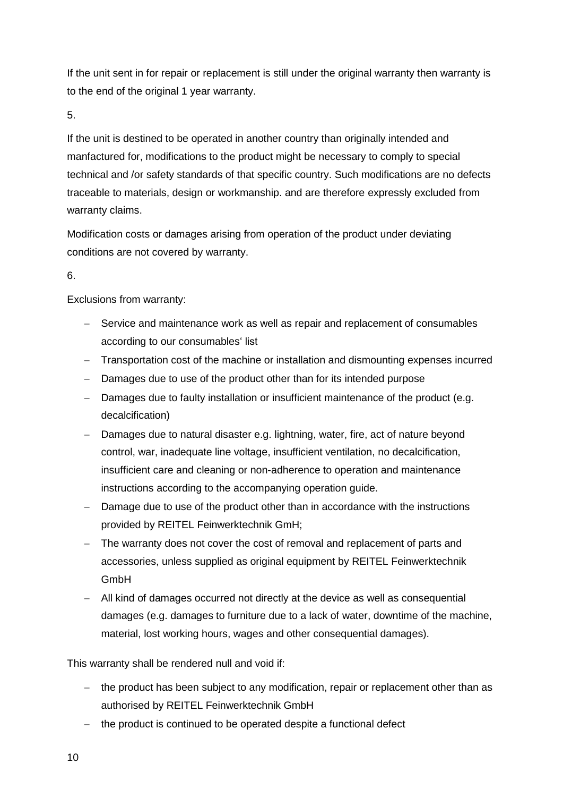If the unit sent in for repair or replacement is still under the original warranty then warranty is to the end of the original 1 year warranty.

5.

If the unit is destined to be operated in another country than originally intended and manfactured for, modifications to the product might be necessary to comply to special technical and /or safety standards of that specific country. Such modifications are no defects traceable to materials, design or workmanship. and are therefore expressly excluded from warranty claims.

Modification costs or damages arising from operation of the product under deviating conditions are not covered by warranty.

### 6.

Exclusions from warranty:

- − Service and maintenance work as well as repair and replacement of consumables according to our consumables' list
- − Transportation cost of the machine or installation and dismounting expenses incurred
- − Damages due to use of the product other than for its intended purpose
- − Damages due to faulty installation or insufficient maintenance of the product (e.g. decalcification)
- − Damages due to natural disaster e.g. lightning, water, fire, act of nature beyond control, war, inadequate line voltage, insufficient ventilation, no decalcification, insufficient care and cleaning or non-adherence to operation and maintenance instructions according to the accompanying operation guide.
- − Damage due to use of the product other than in accordance with the instructions provided by REITEL Feinwerktechnik GmH;
- − The warranty does not cover the cost of removal and replacement of parts and accessories, unless supplied as original equipment by REITEL Feinwerktechnik GmbH
- − All kind of damages occurred not directly at the device as well as consequential damages (e.g. damages to furniture due to a lack of water, downtime of the machine, material, lost working hours, wages and other consequential damages).

This warranty shall be rendered null and void if:

- − the product has been subject to any modification, repair or replacement other than as authorised by REITEL Feinwerktechnik GmbH
- − the product is continued to be operated despite a functional defect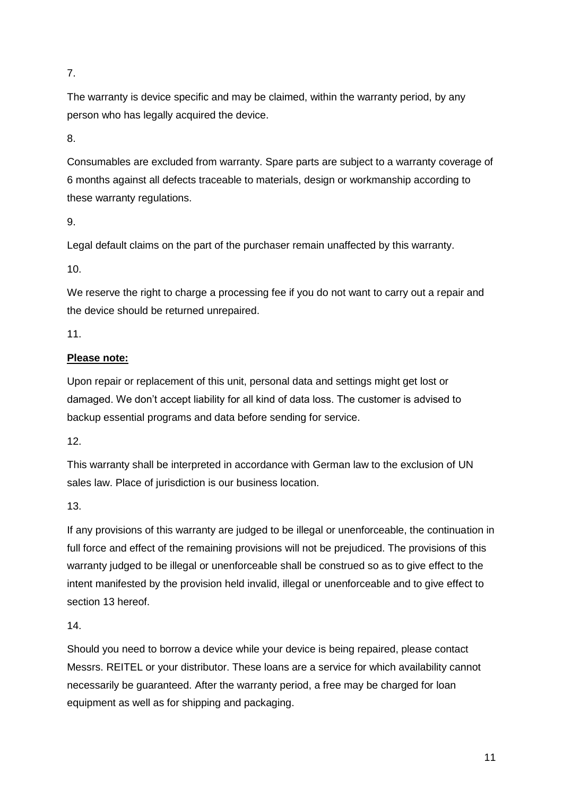7.

The warranty is device specific and may be claimed, within the warranty period, by any person who has legally acquired the device.

8.

Consumables are excluded from warranty. Spare parts are subject to a warranty coverage of 6 months against all defects traceable to materials, design or workmanship according to these warranty regulations.

9.

Legal default claims on the part of the purchaser remain unaffected by this warranty.

10.

We reserve the right to charge a processing fee if you do not want to carry out a repair and the device should be returned unrepaired.

11.

### **Please note:**

Upon repair or replacement of this unit, personal data and settings might get lost or damaged. We don't accept liability for all kind of data loss. The customer is advised to backup essential programs and data before sending for service.

12.

This warranty shall be interpreted in accordance with German law to the exclusion of UN sales law. Place of jurisdiction is our business location.

13.

If any provisions of this warranty are judged to be illegal or unenforceable, the continuation in full force and effect of the remaining provisions will not be prejudiced. The provisions of this warranty judged to be illegal or unenforceable shall be construed so as to give effect to the intent manifested by the provision held invalid, illegal or unenforceable and to give effect to section 13 hereof.

14.

Should you need to borrow a device while your device is being repaired, please contact Messrs. REITEL or your distributor. These loans are a service for which availability cannot necessarily be guaranteed. After the warranty period, a free may be charged for loan equipment as well as for shipping and packaging.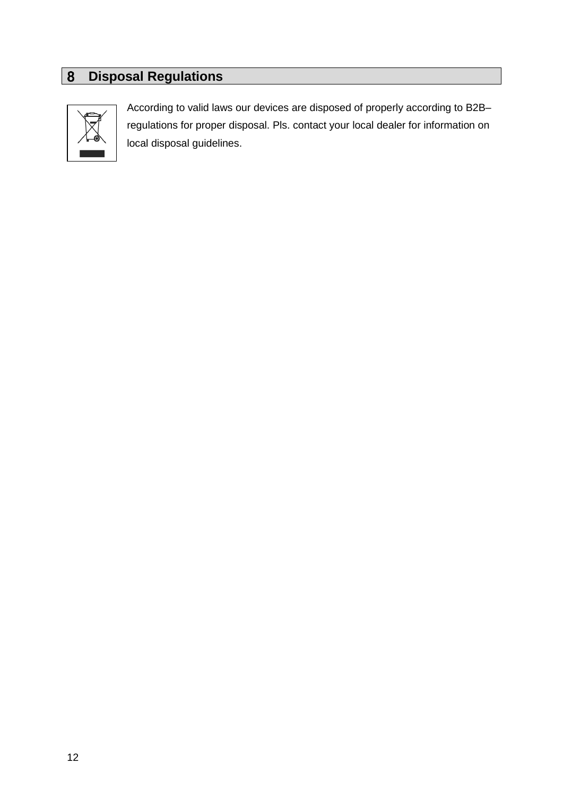# **Disposal Regulations**



According to valid laws our devices are disposed of properly according to B2B– regulations for proper disposal. Pls. contact your local dealer for information on local disposal guidelines.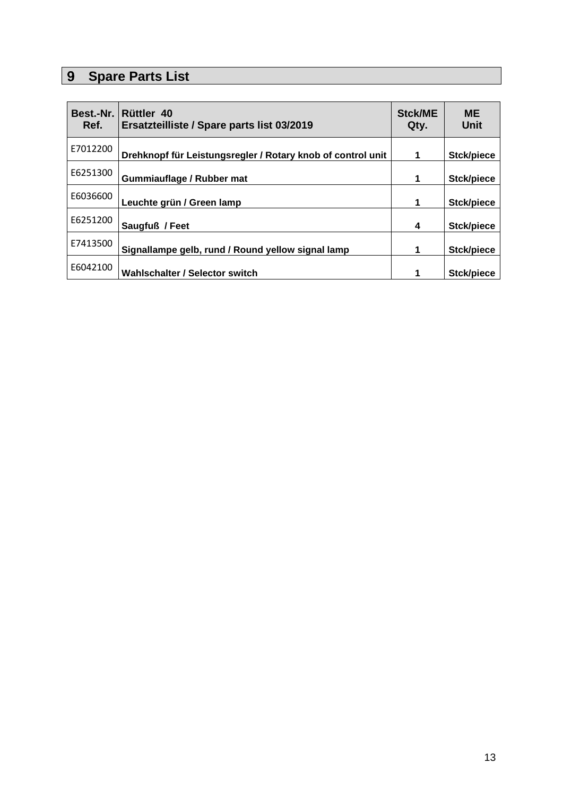# **9** Spare Parts List

| Best.-Nr.<br>Ref. | Rüttler 40<br>Ersatzteilliste / Spare parts list 03/2019    | <b>Stck/ME</b><br>Qty. | <b>ME</b><br><b>Unit</b> |
|-------------------|-------------------------------------------------------------|------------------------|--------------------------|
| E7012200          | Drehknopf für Leistungsregler / Rotary knob of control unit | 1                      | Stck/piece               |
| E6251300          | Gummiauflage / Rubber mat                                   | 1                      | Stck/piece               |
| E6036600          | Leuchte grün / Green lamp                                   | 1                      | Stck/piece               |
| E6251200          | Saugfuß / Feet                                              | 4                      | Stck/piece               |
| E7413500          | Signallampe gelb, rund / Round yellow signal lamp           | 1                      | Stck/piece               |
| E6042100          | Wahlschalter / Selector switch                              | 1                      | Stck/piece               |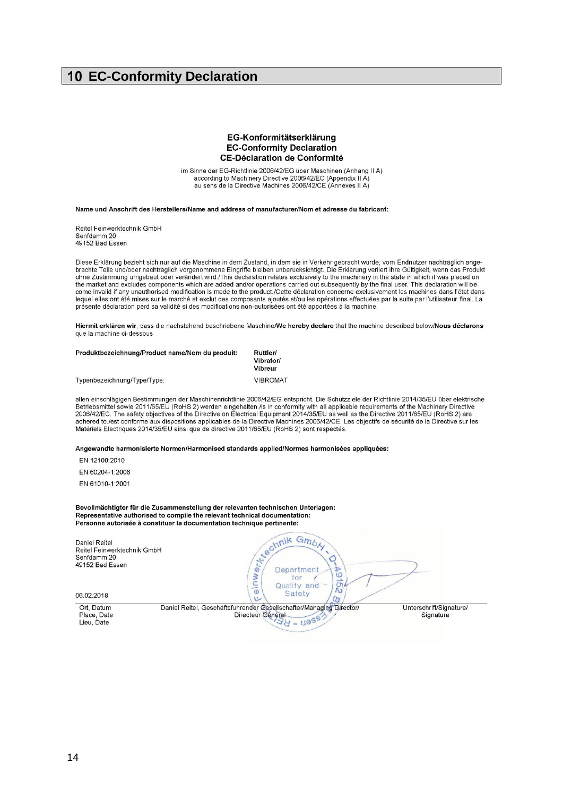### **10 EC-Conformity Declaration**

#### EG-Konformitätserklärung **EC-Conformity Declaration CE-Déclaration de Conformité**

im Sinne der EG-Richtlinie 2006/42/EG über Maschinen (Anhang II A) according to Machinery Directive 2006/42/EC (Appendix II A)<br>au sens de la Directive Machines 2006/42/CE (Appendix II A)

#### Name und Anschrift des Herstellers/Name and address of manufacturer/Nom et adresse du fabricant:

Reitel Feinwerktechnik GmbH Senfdamm 20 49152 Bad Essen

Diese Erklärung bezieht sich nur auf die Maschine in dem Zustand, in dem sie in Verkehr gebracht wurde; vom Endnutzer nachträglich ange-<br>brachte Teile und/oder nachträglich vorgenommene Eingriffe bleiben unberücksichtigt. the market and excludes components which are added and/or operations carried out subsequently by the final user. This declaration will become invalid if any unauthorised modification is made to the product./Cette déclaration concerne exclusivement les machines dans l'état dans lequel elles ont été mises sur le marché et exclut des composants ajoutés et/ou les opérations effectuées par la suite par l'utilisateur final. La présente déclaration perd sa validité si des modifications non-autorisées ont été apportées à la machine.

Hiermit erklären wir, dass die nachstehend beschriebene Maschine/We hereby declare that the machine described below/Nous déclarons que la machine ci-dessous

| Produktbezeichnung/Product name/Nom du produit: | Rüttler/        |  |
|-------------------------------------------------|-----------------|--|
|                                                 | Vibrator/       |  |
|                                                 | Vibreur         |  |
| Typenbezeichnung/Type/Type:                     | <b>VIBROMAT</b> |  |

allen einschlägigen Bestimmungen der Maschinenrichtlinie 2006/42/EG entspricht. Die Schutzziele der Richtlinie 2014/35/EU über elektrische Betriebsmittel sowie 2011/65/EU (RoHS 2) werden eingehalten./is in conformity with all applicable requirements of the Machinery Directive 2006/42/EC. The safety objectives of the Directive on Electrical Equipment 2014/35/EU as well as the Directive 2011/65/EU (RoHS 2) are adhered to /est conforme aux dispositions applicables de la Directive Machines 2006/42/CE. Les objectifs de sécurité de la Directive sur les Matériels Electriques 2014/35/EU ainsi que de directive 2011/65/EU (RoHS 2) sont respectés.

Angewandte harmonisierte Normen/Harmonised standards applied/Normes harmonisées appliquées:

EN 12100:2010

EN 60204-1:2006

EN 61010-1:2001

Bevollmächtigter für die Zusammenstellung der relevanten technischen Unterlagen: Representative authorised to compile the relevant technical documentation: Personne autorisée à constituer la documentation technique pertinente:

| Daniel Reitel<br>Reitel Feinwerktechnik GmbH<br>Senfdamm 20<br>49152 Bad Essen | $-Gm_{b}$<br><b>kechnik</b><br>$\frac{1}{2}$<br>Department<br>Ø<br>for<br>Quality<br>and<br><b>South</b><br>$1 - 10$<br>Safety |                                      |
|--------------------------------------------------------------------------------|--------------------------------------------------------------------------------------------------------------------------------|--------------------------------------|
| 06.02.2018                                                                     | مثا<br>u                                                                                                                       |                                      |
| Ort, Datum<br>Place, Date<br>Lieu, Date                                        | Daniel Reitel, Geschäftsführender Gesellschafter/Managing Director/<br>Directeur Général<br>$-11855$                           | Unterschrift/Signature/<br>Signature |